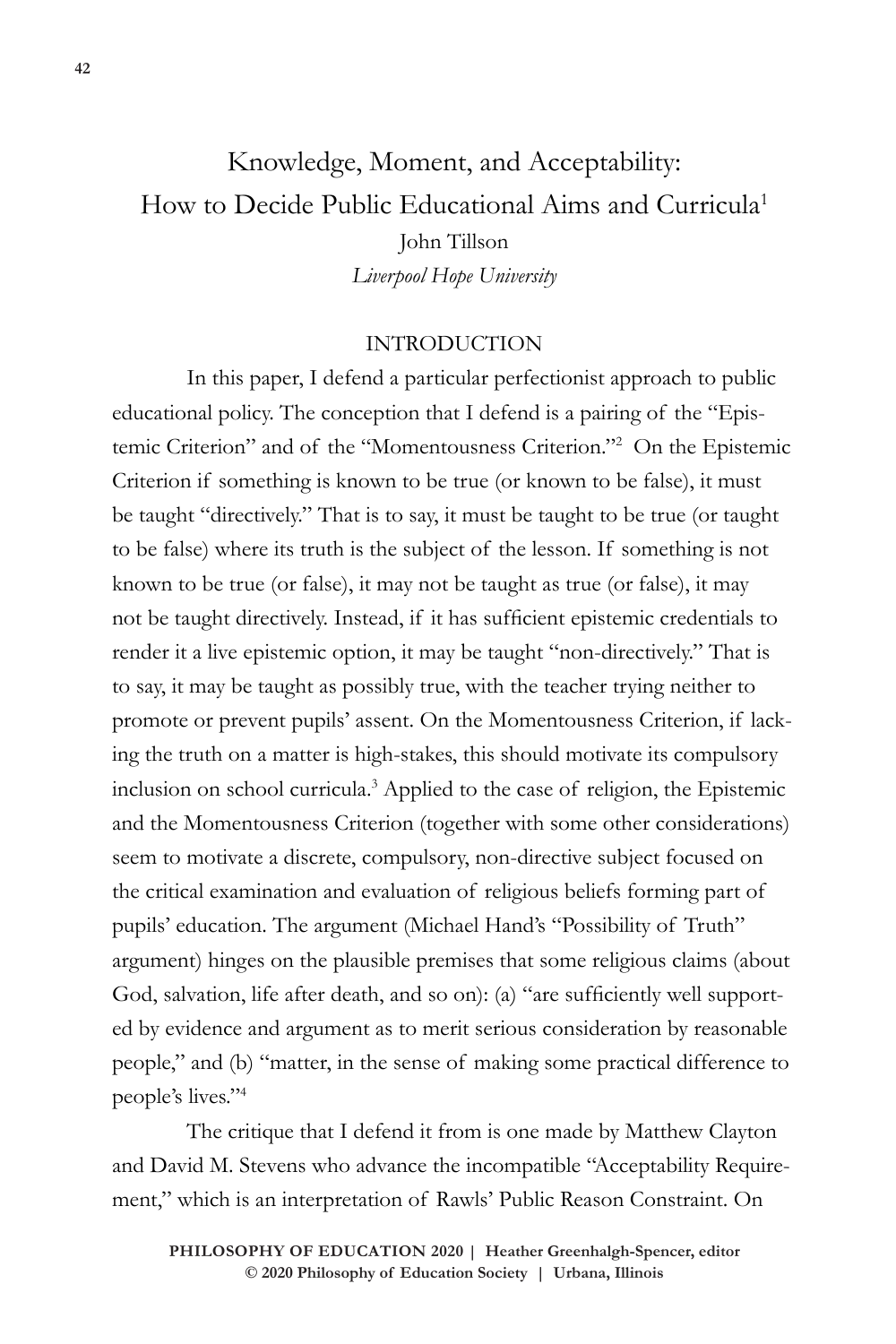# Knowledge, Moment, and Acceptability: How to Decide Public Educational Aims and Curricula<sup>1</sup> John Tillson *Liverpool Hope University*

#### INTRODUCTION

In this paper, I defend a particular perfectionist approach to public educational policy. The conception that I defend is a pairing of the "Epistemic Criterion" and of the "Momentousness Criterion."2 On the Epistemic Criterion if something is known to be true (or known to be false), it must be taught "directively." That is to say, it must be taught to be true (or taught to be false) where its truth is the subject of the lesson. If something is not known to be true (or false), it may not be taught as true (or false), it may not be taught directively. Instead, if it has sufficient epistemic credentials to render it a live epistemic option, it may be taught "non-directively." That is to say, it may be taught as possibly true, with the teacher trying neither to promote or prevent pupils' assent. On the Momentousness Criterion, if lacking the truth on a matter is high-stakes, this should motivate its compulsory inclusion on school curricula.3 Applied to the case of religion, the Epistemic and the Momentousness Criterion (together with some other considerations) seem to motivate a discrete, compulsory, non-directive subject focused on the critical examination and evaluation of religious beliefs forming part of pupils' education. The argument (Michael Hand's "Possibility of Truth" argument) hinges on the plausible premises that some religious claims (about God, salvation, life after death, and so on): (a) "are sufficiently well supported by evidence and argument as to merit serious consideration by reasonable people," and (b) "matter, in the sense of making some practical difference to people's lives."4

The critique that I defend it from is one made by Matthew Clayton and David M. Stevens who advance the incompatible "Acceptability Requirement," which is an interpretation of Rawls' Public Reason Constraint. On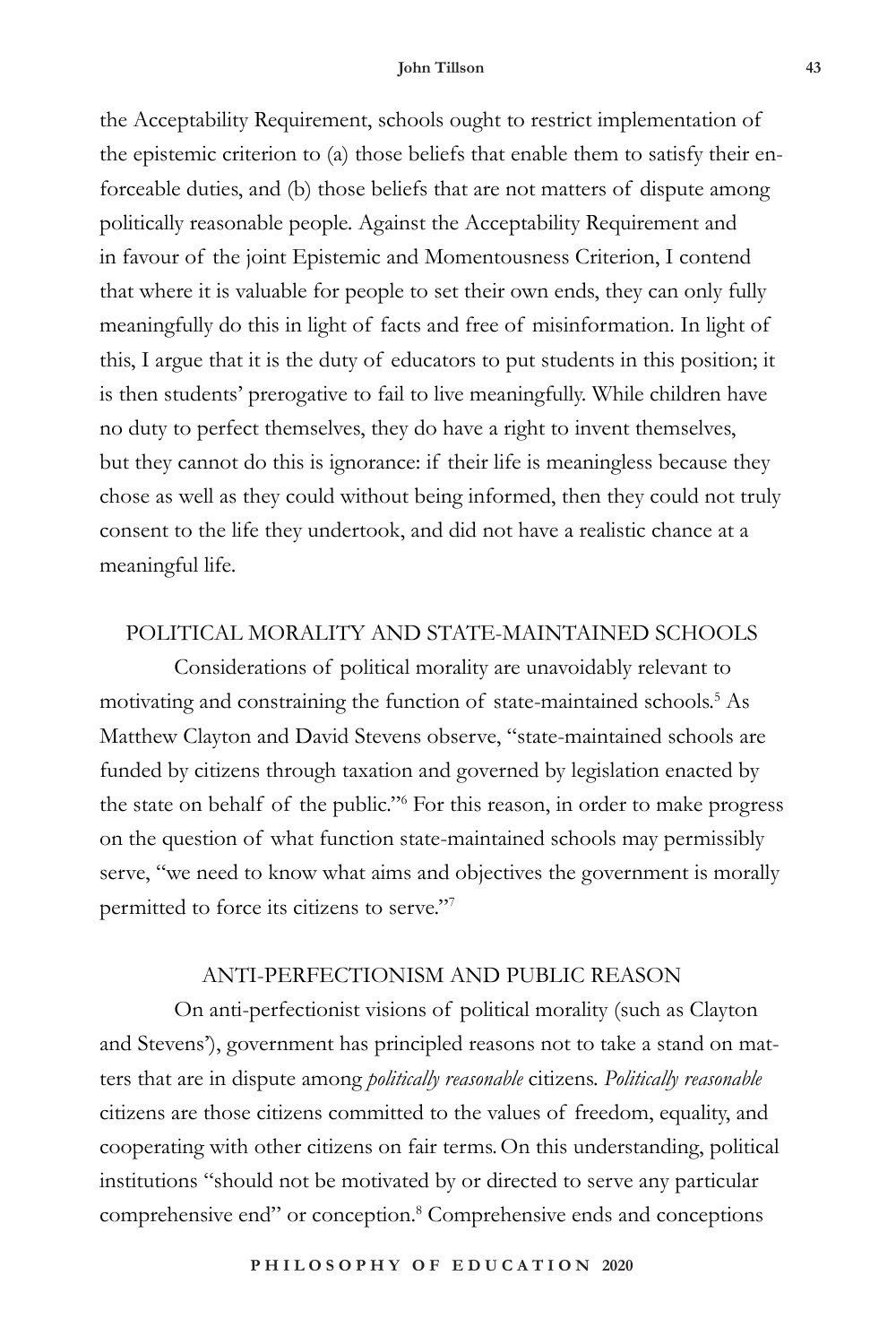#### **John Tillson 43**

the Acceptability Requirement, schools ought to restrict implementation of the epistemic criterion to (a) those beliefs that enable them to satisfy their enforceable duties, and (b) those beliefs that are not matters of dispute among politically reasonable people. Against the Acceptability Requirement and in favour of the joint Epistemic and Momentousness Criterion, I contend that where it is valuable for people to set their own ends, they can only fully meaningfully do this in light of facts and free of misinformation. In light of this, I argue that it is the duty of educators to put students in this position; it is then students' prerogative to fail to live meaningfully. While children have no duty to perfect themselves, they do have a right to invent themselves, but they cannot do this is ignorance: if their life is meaningless because they chose as well as they could without being informed, then they could not truly consent to the life they undertook, and did not have a realistic chance at a meaningful life.

#### POLITICAL MORALITY AND STATE-MAINTAINED SCHOOLS

Considerations of political morality are unavoidably relevant to motivating and constraining the function of state-maintained schools.5 As Matthew Clayton and David Stevens observe, "state-maintained schools are funded by citizens through taxation and governed by legislation enacted by the state on behalf of the public."6 For this reason, in order to make progress on the question of what function state-maintained schools may permissibly serve, "we need to know what aims and objectives the government is morally permitted to force its citizens to serve."7

## ANTI-PERFECTIONISM AND PUBLIC REASON

On anti-perfectionist visions of political morality (such as Clayton and Stevens'), government has principled reasons not to take a stand on matters that are in dispute among *politically reasonable* citizens. *Politically reasonable* citizens are those citizens committed to the values of freedom, equality, and cooperating with other citizens on fair terms.On this understanding, political institutions "should not be motivated by or directed to serve any particular comprehensive end" or conception.<sup>8</sup> Comprehensive ends and conceptions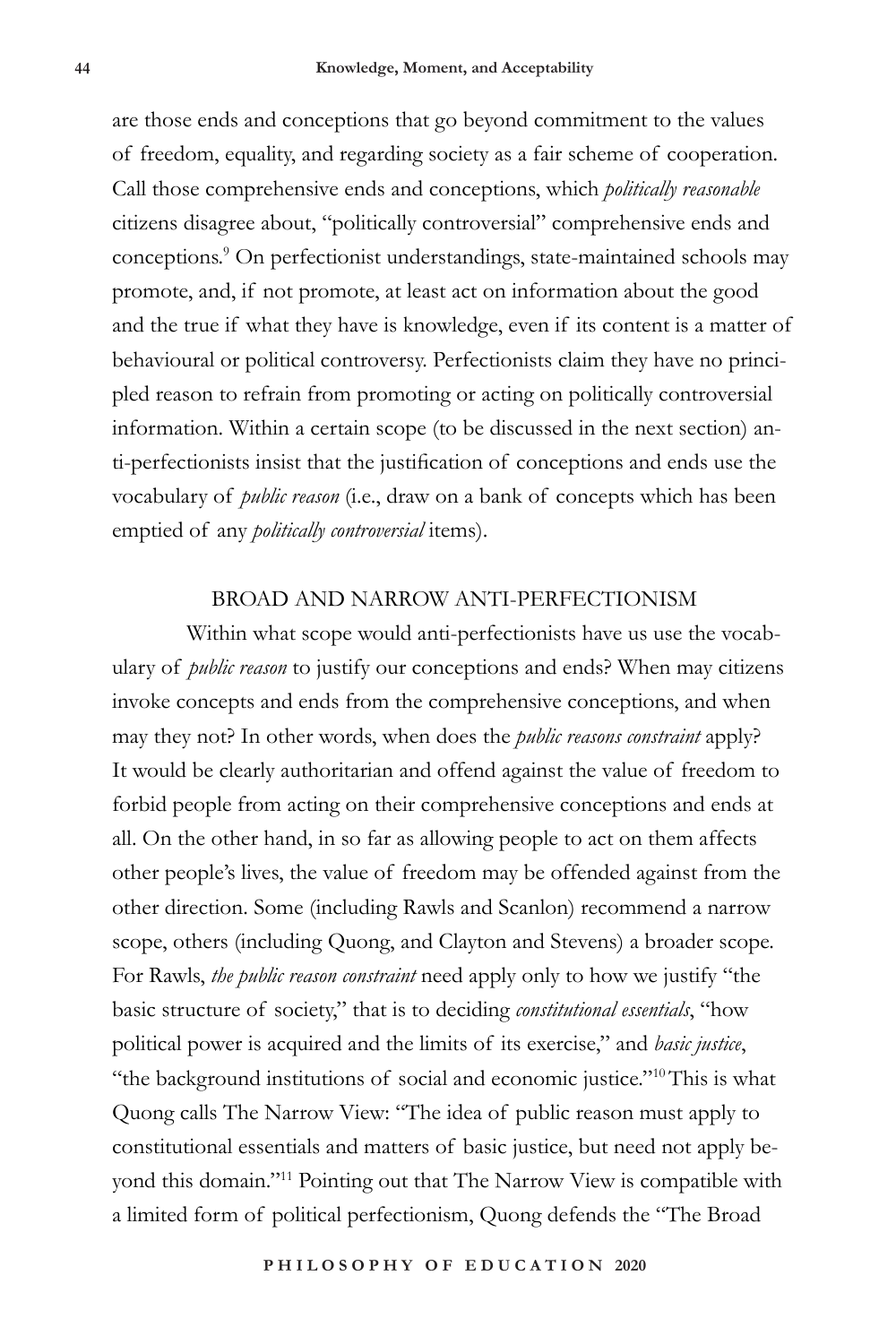are those ends and conceptions that go beyond commitment to the values of freedom, equality, and regarding society as a fair scheme of cooperation. Call those comprehensive ends and conceptions, which *politically reasonable* citizens disagree about, "politically controversial" comprehensive ends and conceptions.9 On perfectionist understandings, state-maintained schools may promote, and, if not promote, at least act on information about the good and the true if what they have is knowledge, even if its content is a matter of behavioural or political controversy. Perfectionists claim they have no principled reason to refrain from promoting or acting on politically controversial information. Within a certain scope (to be discussed in the next section) anti-perfectionists insist that the justification of conceptions and ends use the vocabulary of *public reason* (i.e., draw on a bank of concepts which has been emptied of any *politically controversial* items).

#### BROAD AND NARROW ANTI-PERFECTIONISM

Within what scope would anti-perfectionists have us use the vocabulary of *public reason* to justify our conceptions and ends? When may citizens invoke concepts and ends from the comprehensive conceptions, and when may they not? In other words, when does the *public reasons constraint* apply? It would be clearly authoritarian and offend against the value of freedom to forbid people from acting on their comprehensive conceptions and ends at all. On the other hand, in so far as allowing people to act on them affects other people's lives, the value of freedom may be offended against from the other direction. Some (including Rawls and Scanlon) recommend a narrow scope, others (including Quong, and Clayton and Stevens) a broader scope. For Rawls, *the public reason constraint* need apply only to how we justify "the basic structure of society," that is to deciding *constitutional essentials*, "how political power is acquired and the limits of its exercise," and *basic justice*, "the background institutions of social and economic justice."<sup>10</sup>This is what Quong calls The Narrow View: "The idea of public reason must apply to constitutional essentials and matters of basic justice, but need not apply beyond this domain."11 Pointing out that The Narrow View is compatible with a limited form of political perfectionism, Quong defends the "The Broad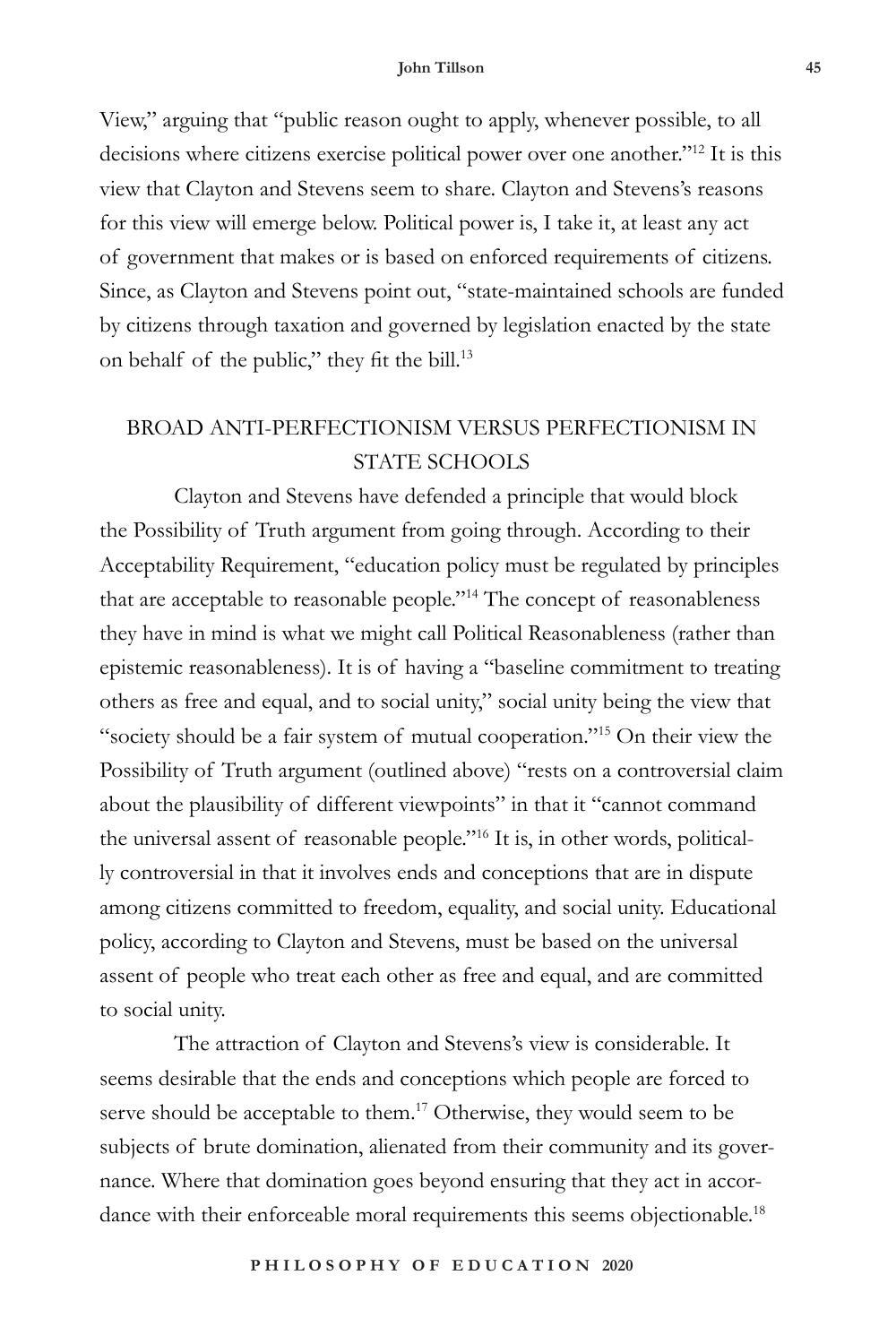View," arguing that "public reason ought to apply, whenever possible, to all decisions where citizens exercise political power over one another."12 It is this view that Clayton and Stevens seem to share. Clayton and Stevens's reasons for this view will emerge below. Political power is, I take it, at least any act of government that makes or is based on enforced requirements of citizens. Since, as Clayton and Stevens point out, "state-maintained schools are funded by citizens through taxation and governed by legislation enacted by the state on behalf of the public," they fit the bill.<sup>13</sup>

# BROAD ANTI-PERFECTIONISM VERSUS PERFECTIONISM IN STATE SCHOOLS

Clayton and Stevens have defended a principle that would block the Possibility of Truth argument from going through. According to their Acceptability Requirement, "education policy must be regulated by principles that are acceptable to reasonable people."14 The concept of reasonableness they have in mind is what we might call Political Reasonableness (rather than epistemic reasonableness). It is of having a "baseline commitment to treating others as free and equal, and to social unity," social unity being the view that "society should be a fair system of mutual cooperation."15 On their view the Possibility of Truth argument (outlined above) "rests on a controversial claim about the plausibility of different viewpoints" in that it "cannot command the universal assent of reasonable people."16 It is, in other words, politically controversial in that it involves ends and conceptions that are in dispute among citizens committed to freedom, equality, and social unity. Educational policy, according to Clayton and Stevens, must be based on the universal assent of people who treat each other as free and equal, and are committed to social unity.

The attraction of Clayton and Stevens's view is considerable. It seems desirable that the ends and conceptions which people are forced to serve should be acceptable to them.<sup>17</sup> Otherwise, they would seem to be subjects of brute domination, alienated from their community and its governance. Where that domination goes beyond ensuring that they act in accordance with their enforceable moral requirements this seems objectionable.<sup>18</sup>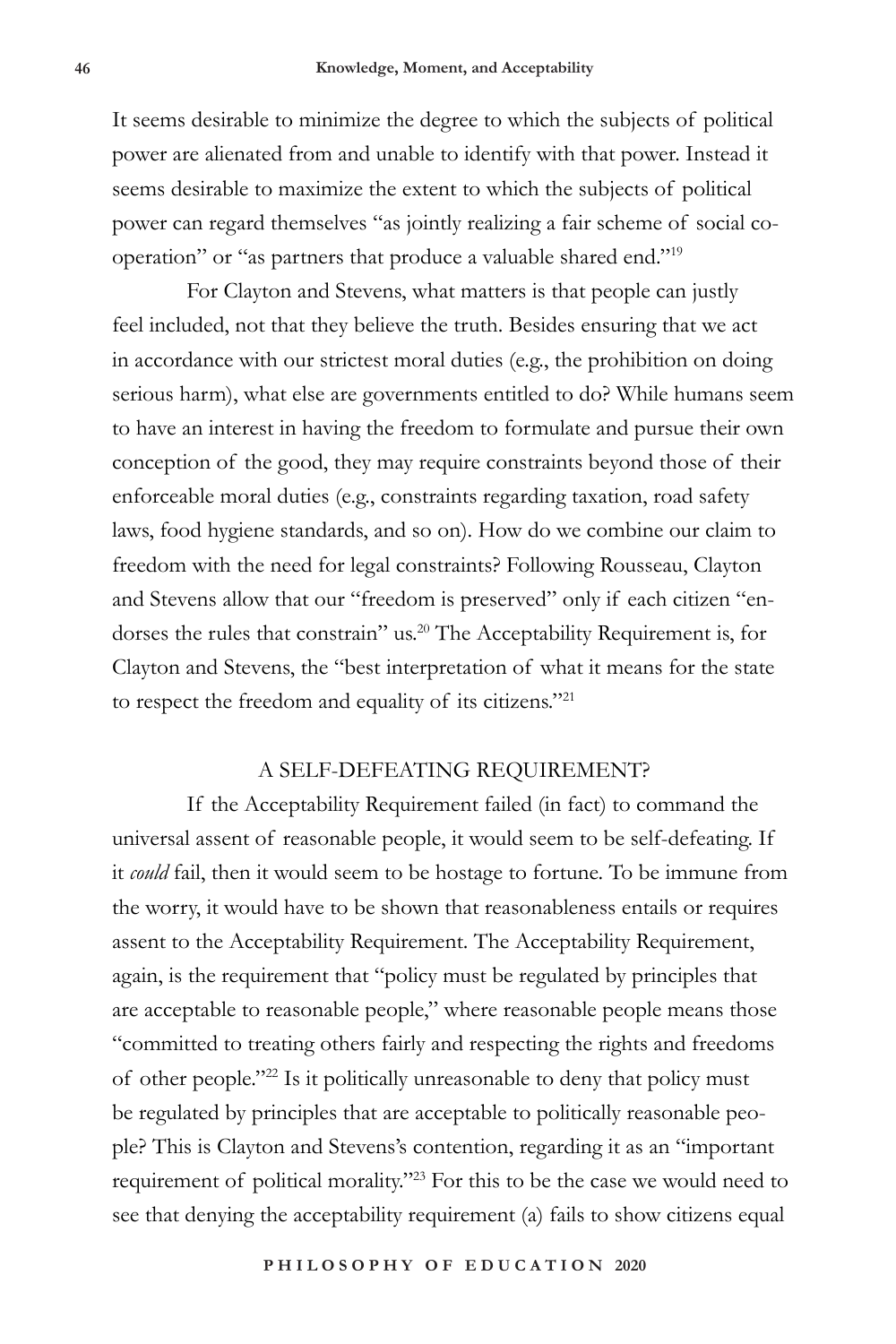It seems desirable to minimize the degree to which the subjects of political power are alienated from and unable to identify with that power. Instead it seems desirable to maximize the extent to which the subjects of political power can regard themselves "as jointly realizing a fair scheme of social cooperation" or "as partners that produce a valuable shared end."19

For Clayton and Stevens, what matters is that people can justly feel included, not that they believe the truth. Besides ensuring that we act in accordance with our strictest moral duties (e.g., the prohibition on doing serious harm), what else are governments entitled to do? While humans seem to have an interest in having the freedom to formulate and pursue their own conception of the good, they may require constraints beyond those of their enforceable moral duties (e.g., constraints regarding taxation, road safety laws, food hygiene standards, and so on). How do we combine our claim to freedom with the need for legal constraints? Following Rousseau, Clayton and Stevens allow that our "freedom is preserved" only if each citizen "endorses the rules that constrain" us.20 The Acceptability Requirement is, for Clayton and Stevens, the "best interpretation of what it means for the state to respect the freedom and equality of its citizens."21

#### A SELF-DEFEATING REQUIREMENT?

If the Acceptability Requirement failed (in fact) to command the universal assent of reasonable people, it would seem to be self-defeating. If it *could* fail, then it would seem to be hostage to fortune. To be immune from the worry, it would have to be shown that reasonableness entails or requires assent to the Acceptability Requirement. The Acceptability Requirement, again, is the requirement that "policy must be regulated by principles that are acceptable to reasonable people," where reasonable people means those "committed to treating others fairly and respecting the rights and freedoms of other people."22 Is it politically unreasonable to deny that policy must be regulated by principles that are acceptable to politically reasonable people? This is Clayton and Stevens's contention, regarding it as an "important requirement of political morality."23 For this to be the case we would need to see that denying the acceptability requirement (a) fails to show citizens equal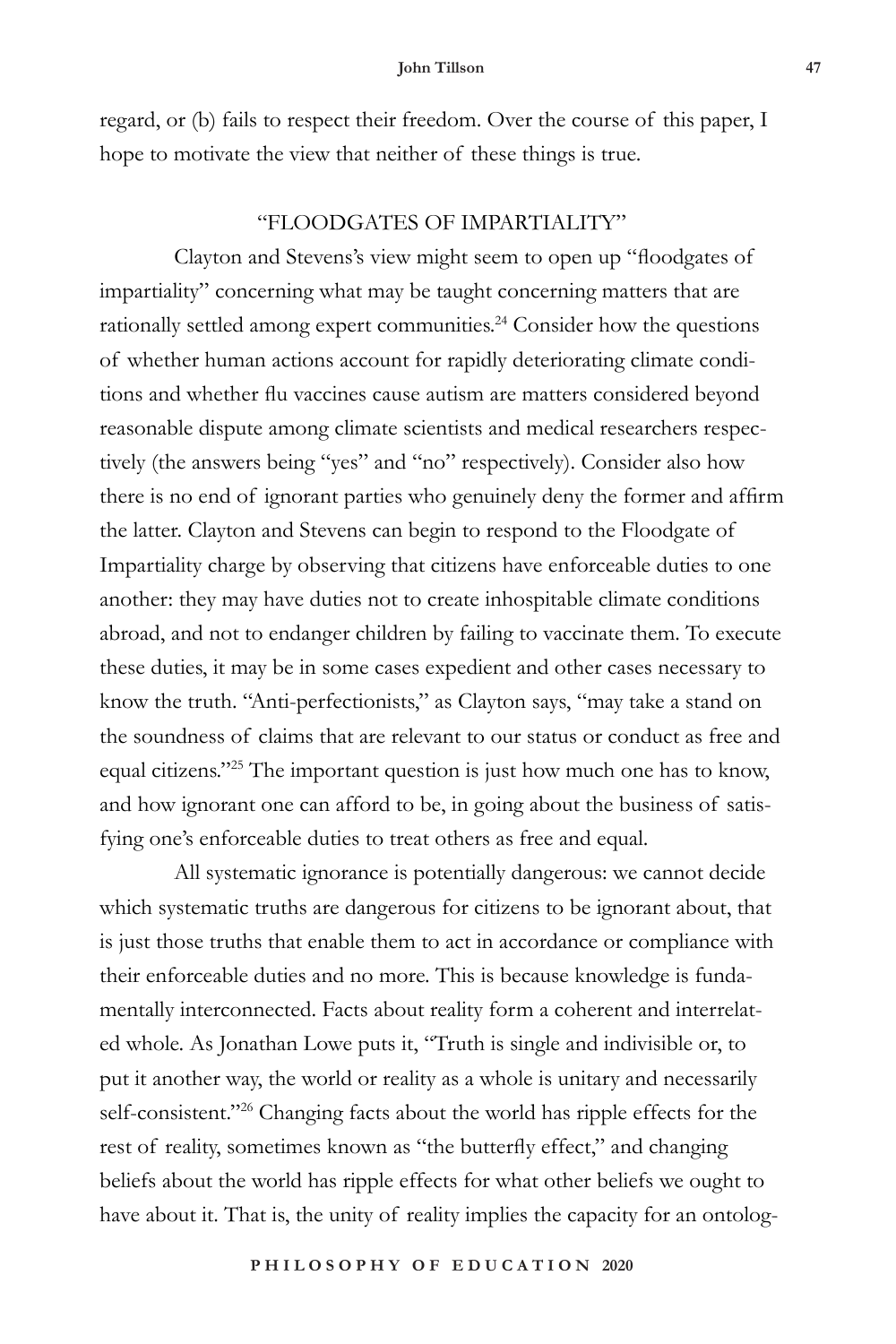regard, or (b) fails to respect their freedom. Over the course of this paper, I hope to motivate the view that neither of these things is true.

# "FLOODGATES OF IMPARTIALITY"

Clayton and Stevens's view might seem to open up "floodgates of impartiality" concerning what may be taught concerning matters that are rationally settled among expert communities.<sup>24</sup> Consider how the questions of whether human actions account for rapidly deteriorating climate conditions and whether flu vaccines cause autism are matters considered beyond reasonable dispute among climate scientists and medical researchers respectively (the answers being "yes" and "no" respectively). Consider also how there is no end of ignorant parties who genuinely deny the former and affirm the latter. Clayton and Stevens can begin to respond to the Floodgate of Impartiality charge by observing that citizens have enforceable duties to one another: they may have duties not to create inhospitable climate conditions abroad, and not to endanger children by failing to vaccinate them. To execute these duties, it may be in some cases expedient and other cases necessary to know the truth. "Anti-perfectionists," as Clayton says, "may take a stand on the soundness of claims that are relevant to our status or conduct as free and equal citizens."25 The important question is just how much one has to know, and how ignorant one can afford to be, in going about the business of satisfying one's enforceable duties to treat others as free and equal.

All systematic ignorance is potentially dangerous: we cannot decide which systematic truths are dangerous for citizens to be ignorant about, that is just those truths that enable them to act in accordance or compliance with their enforceable duties and no more. This is because knowledge is fundamentally interconnected. Facts about reality form a coherent and interrelated whole. As Jonathan Lowe puts it, "Truth is single and indivisible or, to put it another way, the world or reality as a whole is unitary and necessarily self-consistent."<sup>26</sup> Changing facts about the world has ripple effects for the rest of reality, sometimes known as "the butterfly effect," and changing beliefs about the world has ripple effects for what other beliefs we ought to have about it. That is, the unity of reality implies the capacity for an ontolog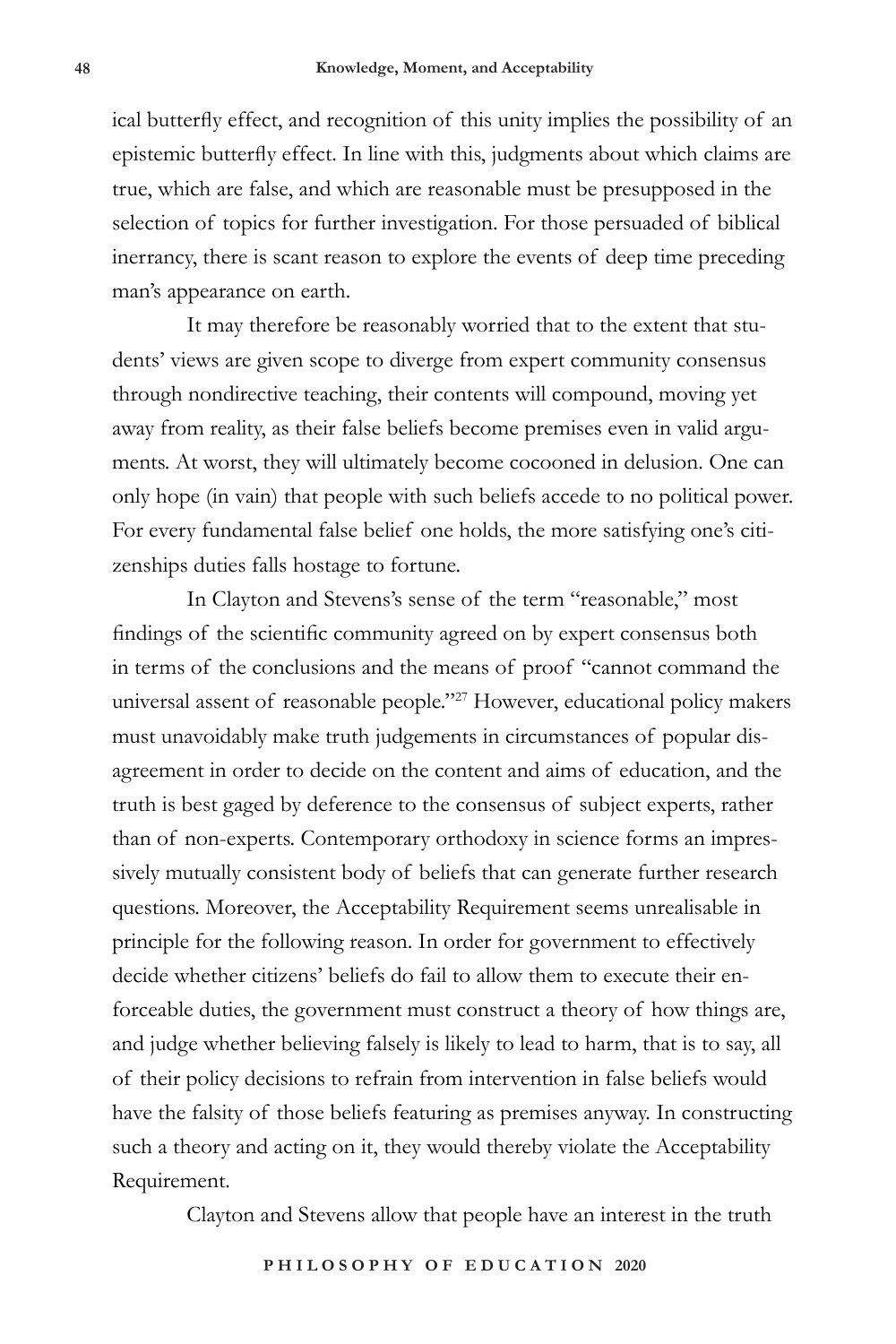ical butterfly effect, and recognition of this unity implies the possibility of an epistemic butterfly effect. In line with this, judgments about which claims are true, which are false, and which are reasonable must be presupposed in the selection of topics for further investigation. For those persuaded of biblical inerrancy, there is scant reason to explore the events of deep time preceding man's appearance on earth.

It may therefore be reasonably worried that to the extent that students' views are given scope to diverge from expert community consensus through nondirective teaching, their contents will compound, moving yet away from reality, as their false beliefs become premises even in valid arguments. At worst, they will ultimately become cocooned in delusion. One can only hope (in vain) that people with such beliefs accede to no political power. For every fundamental false belief one holds, the more satisfying one's citizenships duties falls hostage to fortune.

In Clayton and Stevens's sense of the term "reasonable," most findings of the scientific community agreed on by expert consensus both in terms of the conclusions and the means of proof "cannot command the universal assent of reasonable people."27 However, educational policy makers must unavoidably make truth judgements in circumstances of popular disagreement in order to decide on the content and aims of education, and the truth is best gaged by deference to the consensus of subject experts, rather than of non-experts. Contemporary orthodoxy in science forms an impressively mutually consistent body of beliefs that can generate further research questions. Moreover, the Acceptability Requirement seems unrealisable in principle for the following reason. In order for government to effectively decide whether citizens' beliefs do fail to allow them to execute their enforceable duties, the government must construct a theory of how things are, and judge whether believing falsely is likely to lead to harm, that is to say, all of their policy decisions to refrain from intervention in false beliefs would have the falsity of those beliefs featuring as premises anyway. In constructing such a theory and acting on it, they would thereby violate the Acceptability Requirement.

Clayton and Stevens allow that people have an interest in the truth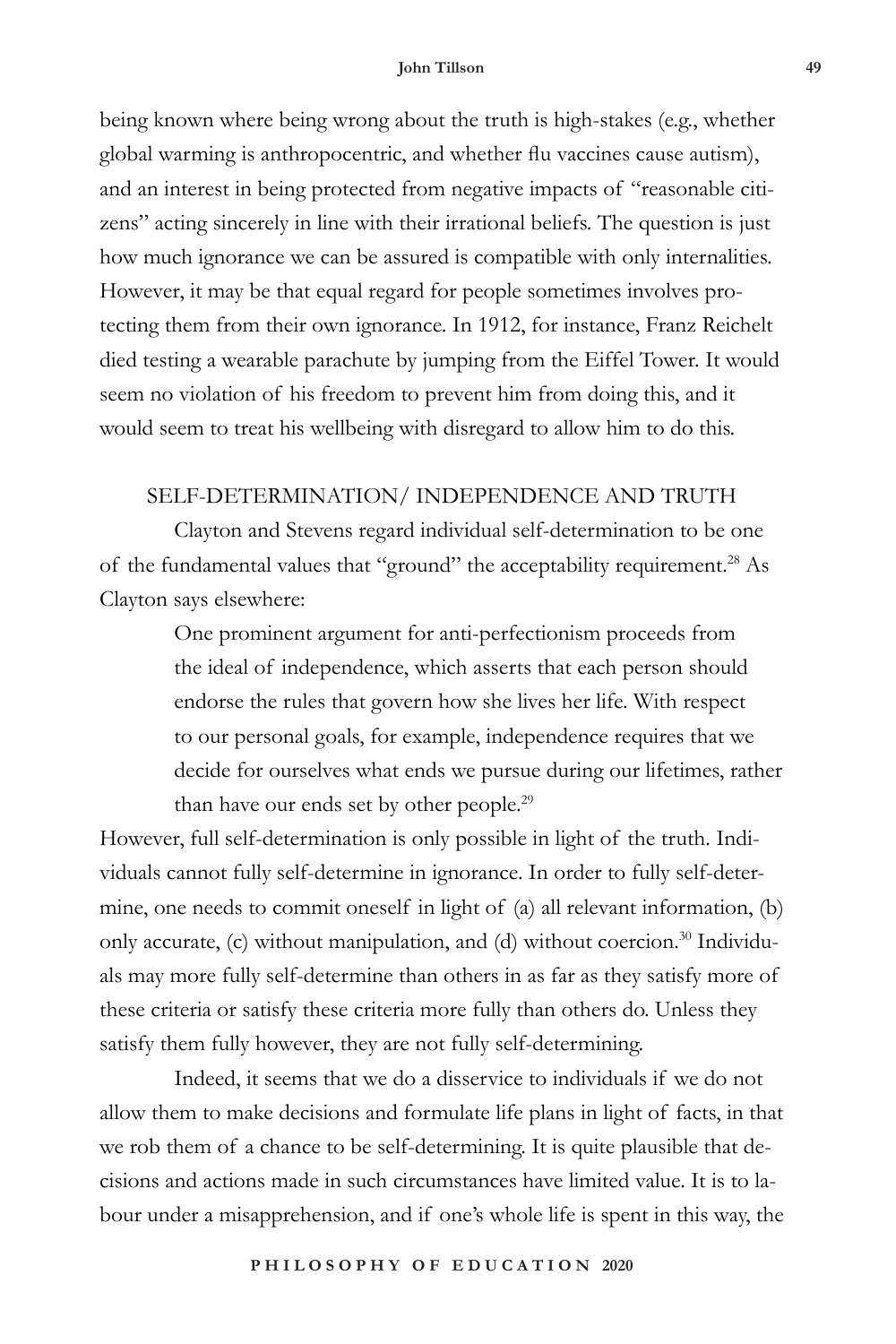#### **John Tillson 49**

being known where being wrong about the truth is high-stakes (e.g., whether global warming is anthropocentric, and whether flu vaccines cause autism), and an interest in being protected from negative impacts of "reasonable citizens" acting sincerely in line with their irrational beliefs. The question is just how much ignorance we can be assured is compatible with only internalities. However, it may be that equal regard for people sometimes involves protecting them from their own ignorance. In 1912, for instance, Franz Reichelt died testing a wearable parachute by jumping from the Eiffel Tower. It would seem no violation of his freedom to prevent him from doing this, and it would seem to treat his wellbeing with disregard to allow him to do this.

#### SELF-DETERMINATION/ INDEPENDENCE AND TRUTH

Clayton and Stevens regard individual self-determination to be one of the fundamental values that "ground" the acceptability requirement.<sup>28</sup> As Clayton says elsewhere:

> One prominent argument for anti-perfectionism proceeds from the ideal of independence, which asserts that each person should endorse the rules that govern how she lives her life. With respect to our personal goals, for example, independence requires that we decide for ourselves what ends we pursue during our lifetimes, rather than have our ends set by other people.<sup>29</sup>

However, full self-determination is only possible in light of the truth. Individuals cannot fully self-determine in ignorance. In order to fully self-determine, one needs to commit oneself in light of (a) all relevant information, (b) only accurate, (c) without manipulation, and (d) without coercion.<sup>30</sup> Individuals may more fully self-determine than others in as far as they satisfy more of these criteria or satisfy these criteria more fully than others do. Unless they satisfy them fully however, they are not fully self-determining.

Indeed, it seems that we do a disservice to individuals if we do not allow them to make decisions and formulate life plans in light of facts, in that we rob them of a chance to be self-determining. It is quite plausible that decisions and actions made in such circumstances have limited value. It is to labour under a misapprehension, and if one's whole life is spent in this way, the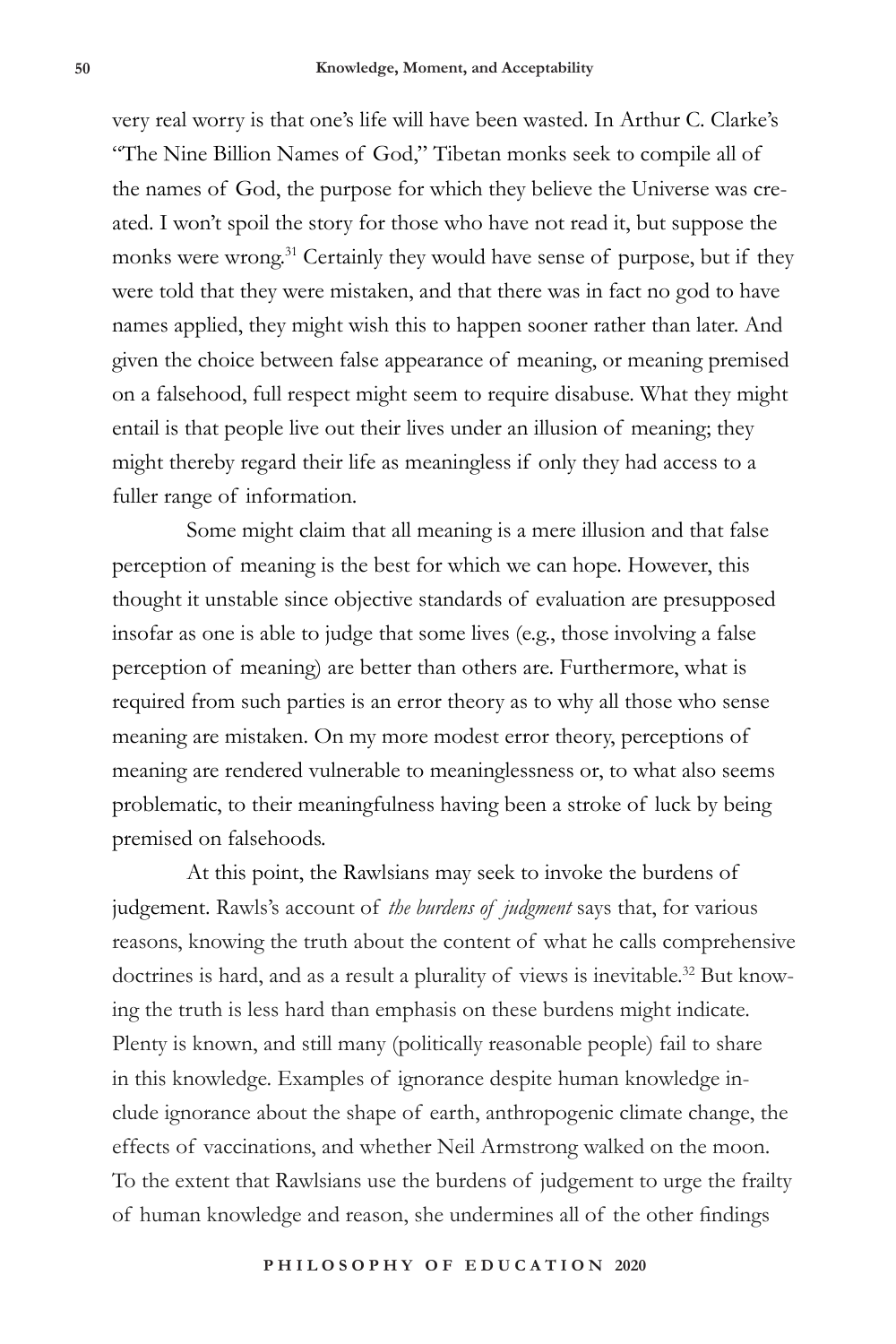very real worry is that one's life will have been wasted. In Arthur C. Clarke's "The Nine Billion Names of God," Tibetan monks seek to compile all of the names of God, the purpose for which they believe the Universe was created. I won't spoil the story for those who have not read it, but suppose the monks were wrong.<sup>31</sup> Certainly they would have sense of purpose, but if they were told that they were mistaken, and that there was in fact no god to have names applied, they might wish this to happen sooner rather than later. And given the choice between false appearance of meaning, or meaning premised on a falsehood, full respect might seem to require disabuse. What they might entail is that people live out their lives under an illusion of meaning; they might thereby regard their life as meaningless if only they had access to a fuller range of information.

Some might claim that all meaning is a mere illusion and that false perception of meaning is the best for which we can hope. However, this thought it unstable since objective standards of evaluation are presupposed insofar as one is able to judge that some lives (e.g., those involving a false perception of meaning) are better than others are. Furthermore, what is required from such parties is an error theory as to why all those who sense meaning are mistaken. On my more modest error theory, perceptions of meaning are rendered vulnerable to meaninglessness or, to what also seems problematic, to their meaningfulness having been a stroke of luck by being premised on falsehoods.

At this point, the Rawlsians may seek to invoke the burdens of judgement. Rawls's account of *the burdens of judgment* says that, for various reasons, knowing the truth about the content of what he calls comprehensive doctrines is hard, and as a result a plurality of views is inevitable.<sup>32</sup> But knowing the truth is less hard than emphasis on these burdens might indicate. Plenty is known, and still many (politically reasonable people) fail to share in this knowledge. Examples of ignorance despite human knowledge include ignorance about the shape of earth, anthropogenic climate change, the effects of vaccinations, and whether Neil Armstrong walked on the moon. To the extent that Rawlsians use the burdens of judgement to urge the frailty of human knowledge and reason, she undermines all of the other findings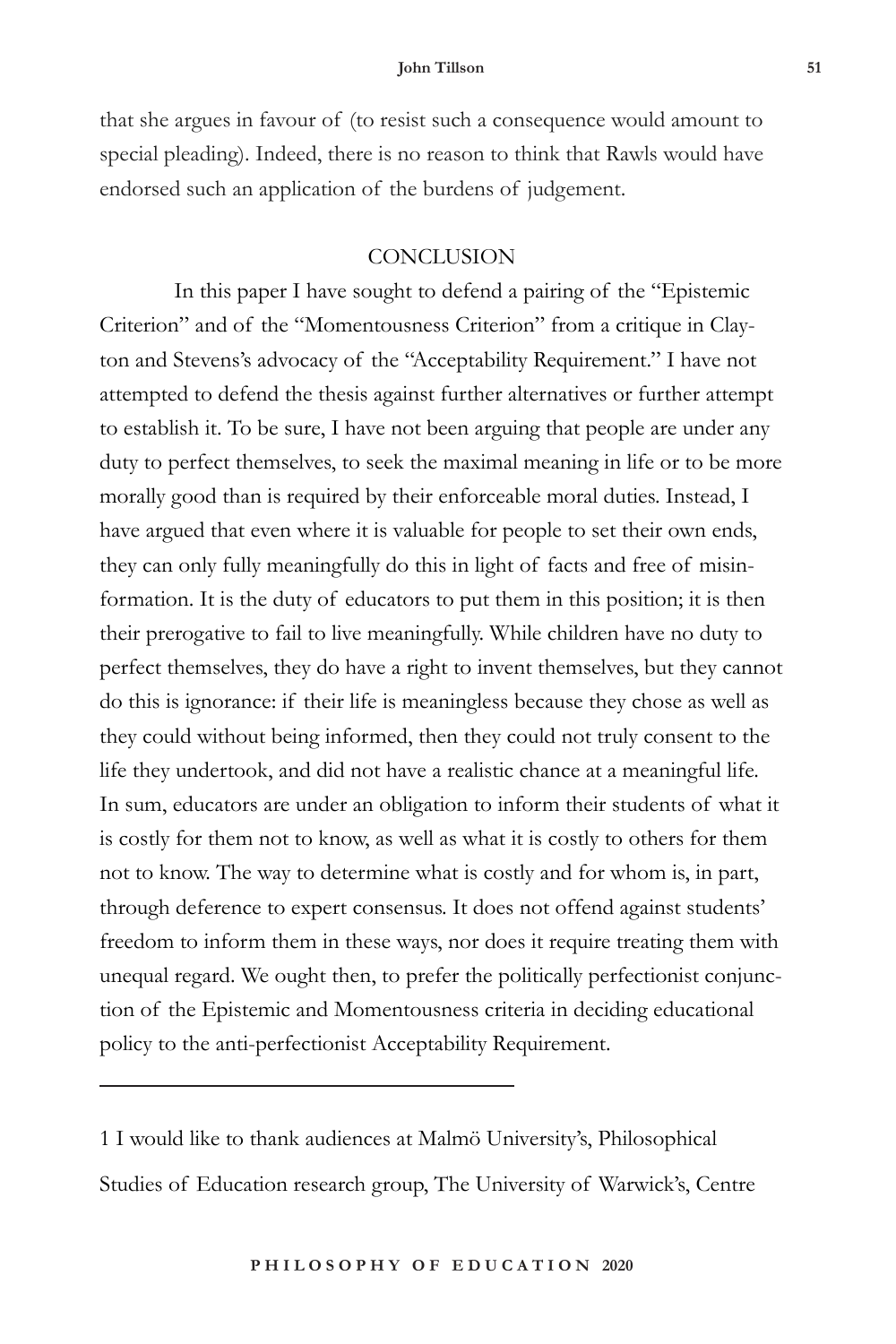#### **John Tillson 51**

that she argues in favour of (to resist such a consequence would amount to special pleading). Indeed, there is no reason to think that Rawls would have endorsed such an application of the burdens of judgement.

### **CONCLUSION**

In this paper I have sought to defend a pairing of the "Epistemic Criterion" and of the "Momentousness Criterion" from a critique in Clayton and Stevens's advocacy of the "Acceptability Requirement." I have not attempted to defend the thesis against further alternatives or further attempt to establish it. To be sure, I have not been arguing that people are under any duty to perfect themselves, to seek the maximal meaning in life or to be more morally good than is required by their enforceable moral duties. Instead, I have argued that even where it is valuable for people to set their own ends, they can only fully meaningfully do this in light of facts and free of misinformation. It is the duty of educators to put them in this position; it is then their prerogative to fail to live meaningfully. While children have no duty to perfect themselves, they do have a right to invent themselves, but they cannot do this is ignorance: if their life is meaningless because they chose as well as they could without being informed, then they could not truly consent to the life they undertook, and did not have a realistic chance at a meaningful life. In sum, educators are under an obligation to inform their students of what it is costly for them not to know, as well as what it is costly to others for them not to know. The way to determine what is costly and for whom is, in part, through deference to expert consensus. It does not offend against students' freedom to inform them in these ways, nor does it require treating them with unequal regard. We ought then, to prefer the politically perfectionist conjunction of the Epistemic and Momentousness criteria in deciding educational policy to the anti-perfectionist Acceptability Requirement.

1 I would like to thank audiences at Malmö University's, Philosophical Studies of Education research group, The University of Warwick's, Centre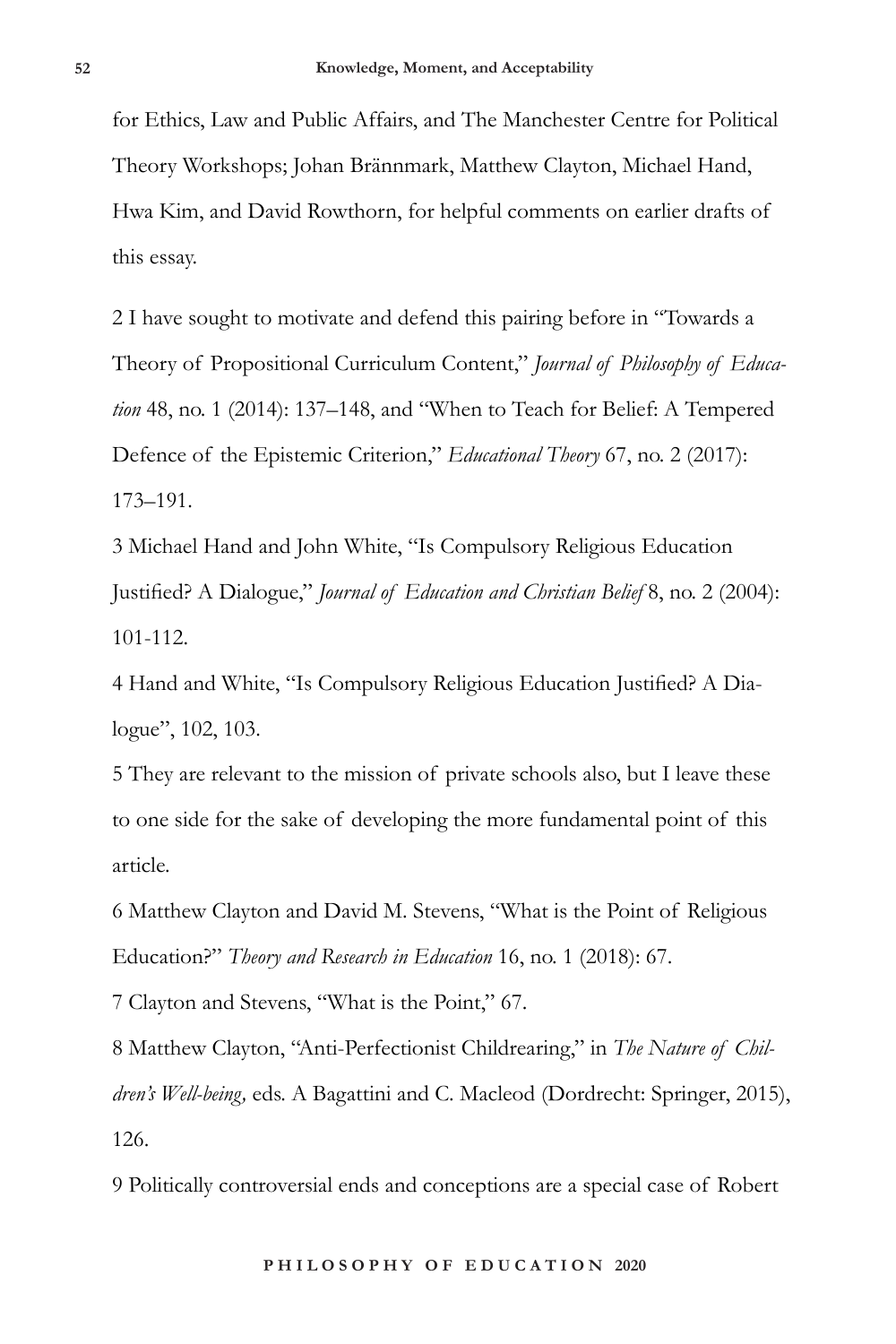for Ethics, Law and Public Affairs, and The Manchester Centre for Political Theory Workshops; Johan Brännmark, Matthew Clayton, Michael Hand, Hwa Kim, and David Rowthorn, for helpful comments on earlier drafts of this essay.

2 I have sought to motivate and defend this pairing before in "Towards a Theory of Propositional Curriculum Content," *Journal of Philosophy of Education* 48, no. 1 (2014): 137–148, and "When to Teach for Belief: A Tempered Defence of the Epistemic Criterion," *Educational Theory* 67, no. 2 (2017): 173–191.

3 Michael Hand and John White, "Is Compulsory Religious Education Justified? A Dialogue," *Journal of Education and Christian Belief* 8, no. 2 (2004): 101-112.

4 Hand and White, "Is Compulsory Religious Education Justified? A Dialogue", 102, 103.

5 They are relevant to the mission of private schools also, but I leave these to one side for the sake of developing the more fundamental point of this article.

6 Matthew Clayton and David M. Stevens, "What is the Point of Religious Education?" *Theory and Research in Education* 16, no. 1 (2018): 67.

7 Clayton and Stevens, "What is the Point," 67.

8 Matthew Clayton, "Anti-Perfectionist Childrearing," in *The Nature of Children's Well-being,* eds. A Bagattini and C. Macleod (Dordrecht: Springer, 2015), 126.

9 Politically controversial ends and conceptions are a special case of Robert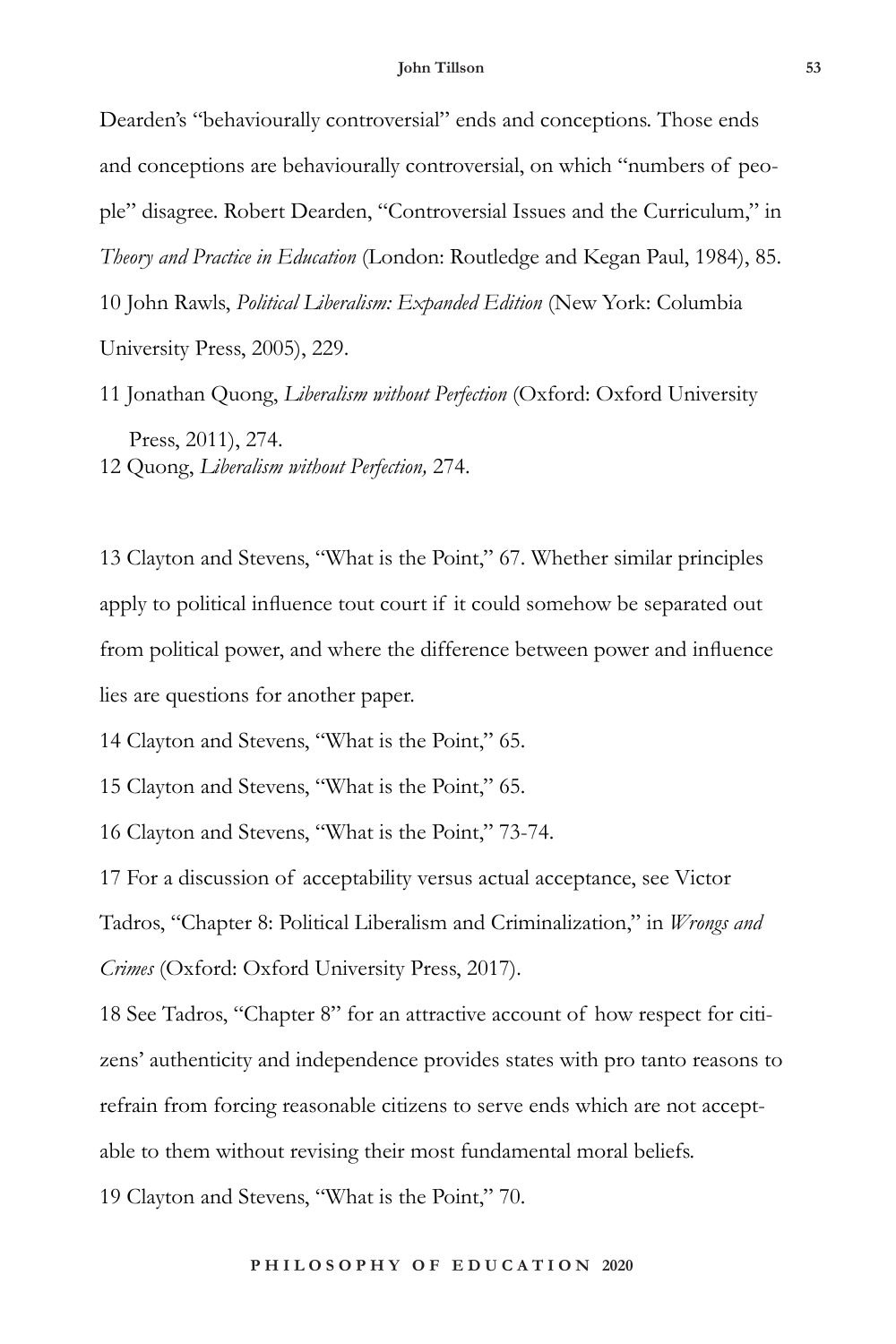Dearden's "behaviourally controversial" ends and conceptions. Those ends and conceptions are behaviourally controversial, on which "numbers of people" disagree. Robert Dearden, "Controversial Issues and the Curriculum," in *Theory and Practice in Education* (London: Routledge and Kegan Paul, 1984), 85. 10 John Rawls, *Political Liberalism: Expanded Edition* (New York: Columbia University Press, 2005), 229.

11 Jonathan Quong, *Liberalism without Perfection* (Oxford: Oxford University Press, 2011), 274. 12 Quong, *Liberalism without Perfection,* 274.

13 Clayton and Stevens, "What is the Point," 67. Whether similar principles apply to political influence tout court if it could somehow be separated out from political power, and where the difference between power and influence lies are questions for another paper.

14 Clayton and Stevens, "What is the Point," 65.

15 Clayton and Stevens, "What is the Point," 65.

16 Clayton and Stevens, "What is the Point," 73-74.

17 For a discussion of acceptability versus actual acceptance, see Victor Tadros, "Chapter 8: Political Liberalism and Criminalization," in *Wrongs and Crimes* (Oxford: Oxford University Press, 2017).

18 See Tadros, "Chapter 8" for an attractive account of how respect for citizens' authenticity and independence provides states with pro tanto reasons to refrain from forcing reasonable citizens to serve ends which are not acceptable to them without revising their most fundamental moral beliefs. 19 Clayton and Stevens, "What is the Point," 70.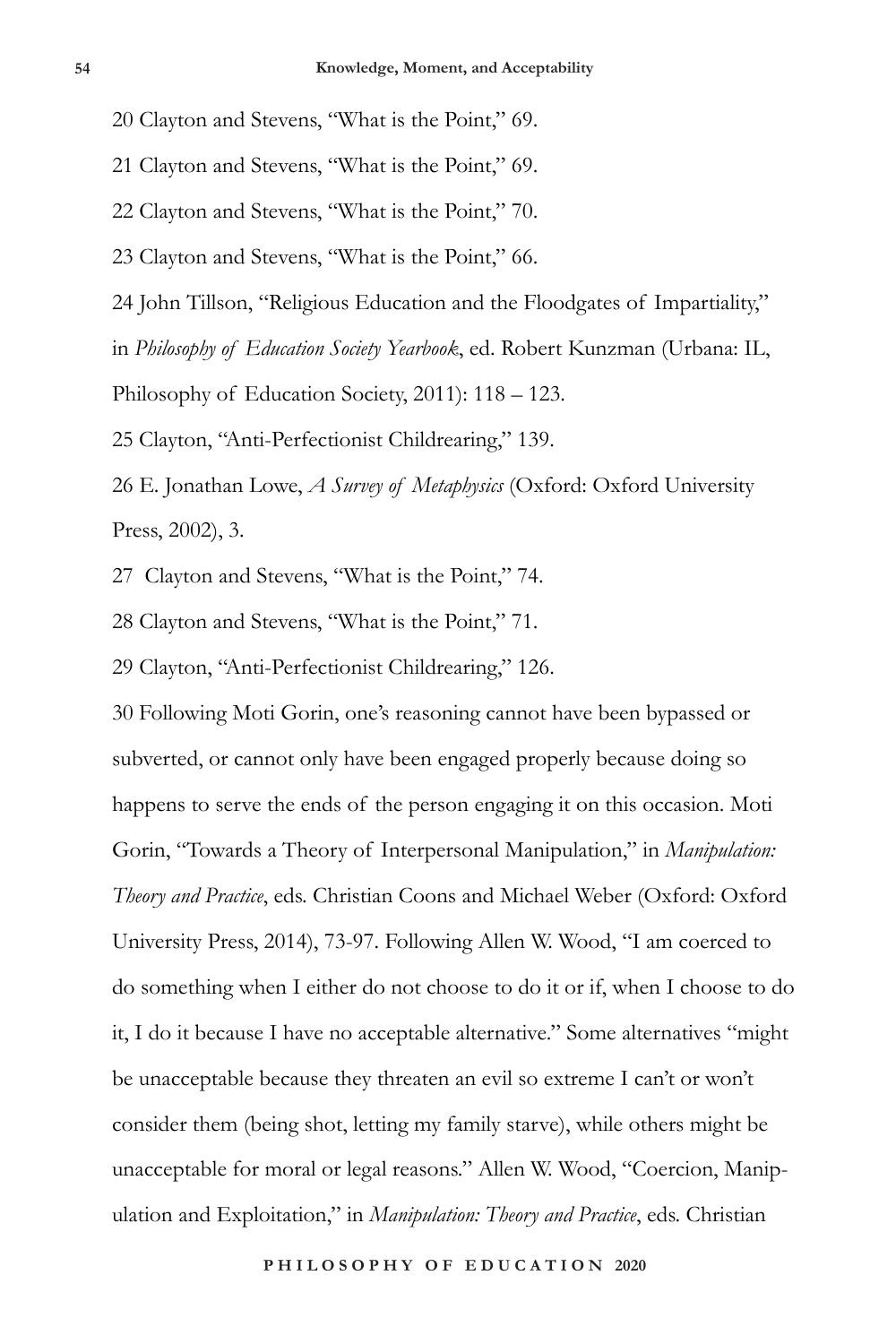20 Clayton and Stevens, "What is the Point," 69.

21 Clayton and Stevens, "What is the Point," 69.

22 Clayton and Stevens, "What is the Point," 70.

23 Clayton and Stevens, "What is the Point," 66.

24 John Tillson, "Religious Education and the Floodgates of Impartiality,"

in *Philosophy of Education Society Yearbook*, ed. Robert Kunzman (Urbana: IL,

Philosophy of Education Society, 2011): 118 – 123.

25 Clayton, "Anti-Perfectionist Childrearing," 139.

26 E. Jonathan Lowe, *A Survey of Metaphysics* (Oxford: Oxford University Press, 2002), 3.

27 Clayton and Stevens, "What is the Point," 74.

28 Clayton and Stevens, "What is the Point," 71.

29 Clayton, "Anti-Perfectionist Childrearing," 126.

30 Following Moti Gorin, one's reasoning cannot have been bypassed or subverted, or cannot only have been engaged properly because doing so happens to serve the ends of the person engaging it on this occasion. Moti Gorin, "Towards a Theory of Interpersonal Manipulation," in *Manipulation: Theory and Practice*, eds. Christian Coons and Michael Weber (Oxford: Oxford University Press, 2014), 73-97. Following Allen W. Wood, "I am coerced to do something when I either do not choose to do it or if, when I choose to do it, I do it because I have no acceptable alternative." Some alternatives "might be unacceptable because they threaten an evil so extreme I can't or won't consider them (being shot, letting my family starve), while others might be unacceptable for moral or legal reasons." Allen W. Wood, "Coercion, Manipulation and Exploitation," in *Manipulation: Theory and Practice*, eds. Christian